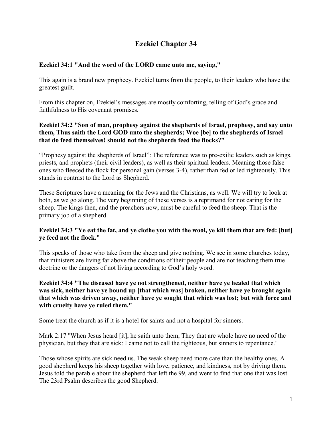# **Ezekiel Chapter 34**

# **Ezekiel 34:1 "And the word of the LORD came unto me, saying,"**

This again is a brand new prophecy. Ezekiel turns from the people, to their leaders who have the greatest guilt.

From this chapter on, Ezekiel's messages are mostly comforting, telling of God's grace and faithfulness to His covenant promises.

## **Ezekiel 34:2 "Son of man, prophesy against the shepherds of Israel, prophesy, and say unto them, Thus saith the Lord GOD unto the shepherds; Woe [be] to the shepherds of Israel that do feed themselves! should not the shepherds feed the flocks?"**

"Prophesy against the shepherds of Israel": The reference was to pre-exilic leaders such as kings, priests, and prophets (their civil leaders), as well as their spiritual leaders. Meaning those false ones who fleeced the flock for personal gain (verses 3-4), rather than fed or led righteously. This stands in contrast to the Lord as Shepherd.

These Scriptures have a meaning for the Jews and the Christians, as well. We will try to look at both, as we go along. The very beginning of these verses is a reprimand for not caring for the sheep. The kings then, and the preachers now, must be careful to feed the sheep. That is the primary job of a shepherd.

## **Ezekiel 34:3 "Ye eat the fat, and ye clothe you with the wool, ye kill them that are fed: [but] ye feed not the flock."**

This speaks of those who take from the sheep and give nothing. We see in some churches today, that ministers are living far above the conditions of their people and are not teaching them true doctrine or the dangers of not living according to God's holy word.

## **Ezekiel 34:4 "The diseased have ye not strengthened, neither have ye healed that which was sick, neither have ye bound up [that which was] broken, neither have ye brought again that which was driven away, neither have ye sought that which was lost; but with force and with cruelty have ye ruled them."**

Some treat the church as if it is a hotel for saints and not a hospital for sinners.

Mark 2:17 "When Jesus heard [it], he saith unto them, They that are whole have no need of the physician, but they that are sick: I came not to call the righteous, but sinners to repentance."

Those whose spirits are sick need us. The weak sheep need more care than the healthy ones. A good shepherd keeps his sheep together with love, patience, and kindness, not by driving them. Jesus told the parable about the shepherd that left the 99, and went to find that one that was lost. The 23rd Psalm describes the good Shepherd.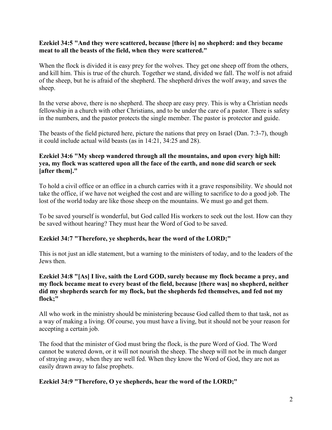#### **Ezekiel 34:5 "And they were scattered, because [there is] no shepherd: and they became meat to all the beasts of the field, when they were scattered."**

When the flock is divided it is easy prey for the wolves. They get one sheep off from the others, and kill him. This is true of the church. Together we stand, divided we fall. The wolf is not afraid of the sheep, but he is afraid of the shepherd. The shepherd drives the wolf away, and saves the sheep.

In the verse above, there is no shepherd. The sheep are easy prey. This is why a Christian needs fellowship in a church with other Christians, and to be under the care of a pastor. There is safety in the numbers, and the pastor protects the single member. The pastor is protector and guide.

The beasts of the field pictured here, picture the nations that prey on Israel (Dan. 7:3-7), though it could include actual wild beasts (as in 14:21, 34:25 and 28).

## **Ezekiel 34:6 "My sheep wandered through all the mountains, and upon every high hill: yea, my flock was scattered upon all the face of the earth, and none did search or seek [after them]."**

To hold a civil office or an office in a church carries with it a grave responsibility. We should not take the office, if we have not weighed the cost and are willing to sacrifice to do a good job. The lost of the world today are like those sheep on the mountains. We must go and get them.

To be saved yourself is wonderful, but God called His workers to seek out the lost. How can they be saved without hearing? They must hear the Word of God to be saved.

## **Ezekiel 34:7 "Therefore, ye shepherds, hear the word of the LORD;"**

This is not just an idle statement, but a warning to the ministers of today, and to the leaders of the Jews then.

#### **Ezekiel 34:8 "[As] I live, saith the Lord GOD, surely because my flock became a prey, and my flock became meat to every beast of the field, because [there was] no shepherd, neither did my shepherds search for my flock, but the shepherds fed themselves, and fed not my flock;"**

All who work in the ministry should be ministering because God called them to that task, not as a way of making a living. Of course, you must have a living, but it should not be your reason for accepting a certain job.

The food that the minister of God must bring the flock, is the pure Word of God. The Word cannot be watered down, or it will not nourish the sheep. The sheep will not be in much danger of straying away, when they are well fed. When they know the Word of God, they are not as easily drawn away to false prophets.

## **Ezekiel 34:9 "Therefore, O ye shepherds, hear the word of the LORD;"**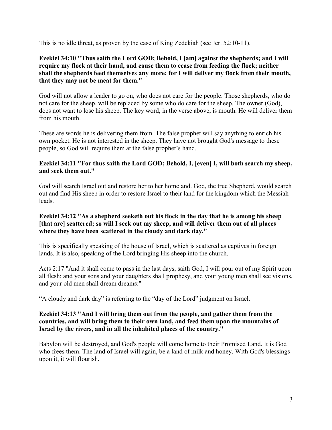This is no idle threat, as proven by the case of King Zedekiah (see Jer. 52:10-11).

## **Ezekiel 34:10 "Thus saith the Lord GOD; Behold, I [am] against the shepherds; and I will require my flock at their hand, and cause them to cease from feeding the flock; neither shall the shepherds feed themselves any more; for I will deliver my flock from their mouth, that they may not be meat for them."**

God will not allow a leader to go on, who does not care for the people. Those shepherds, who do not care for the sheep, will be replaced by some who do care for the sheep. The owner (God), does not want to lose his sheep. The key word, in the verse above, is mouth. He will deliver them from his mouth.

These are words he is delivering them from. The false prophet will say anything to enrich his own pocket. He is not interested in the sheep. They have not brought God's message to these people, so God will require them at the false prophet's hand.

## **Ezekiel 34:11 "For thus saith the Lord GOD; Behold, I, [even] I, will both search my sheep, and seek them out."**

God will search Israel out and restore her to her homeland. God, the true Shepherd, would search out and find His sheep in order to restore Israel to their land for the kingdom which the Messiah leads.

#### **Ezekiel 34:12 "As a shepherd seeketh out his flock in the day that he is among his sheep [that are] scattered; so will I seek out my sheep, and will deliver them out of all places where they have been scattered in the cloudy and dark day."**

This is specifically speaking of the house of Israel, which is scattered as captives in foreign lands. It is also, speaking of the Lord bringing His sheep into the church.

Acts 2:17 "And it shall come to pass in the last days, saith God, I will pour out of my Spirit upon all flesh: and your sons and your daughters shall prophesy, and your young men shall see visions, and your old men shall dream dreams:"

"A cloudy and dark day" is referring to the "day of the Lord" judgment on Israel.

#### **Ezekiel 34:13 "And I will bring them out from the people, and gather them from the countries, and will bring them to their own land, and feed them upon the mountains of Israel by the rivers, and in all the inhabited places of the country."**

Babylon will be destroyed, and God's people will come home to their Promised Land. It is God who frees them. The land of Israel will again, be a land of milk and honey. With God's blessings upon it, it will flourish.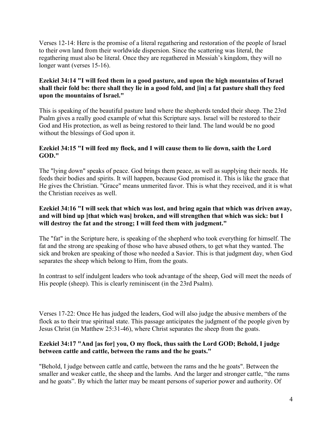Verses 12-14: Here is the promise of a literal regathering and restoration of the people of Israel to their own land from their worldwide dispersion. Since the scattering was literal, the regathering must also be literal. Once they are regathered in Messiah's kingdom, they will no longer want (verses 15-16).

## **Ezekiel 34:14 "I will feed them in a good pasture, and upon the high mountains of Israel shall their fold be: there shall they lie in a good fold, and [in] a fat pasture shall they feed upon the mountains of Israel."**

This is speaking of the beautiful pasture land where the shepherds tended their sheep. The 23rd Psalm gives a really good example of what this Scripture says. Israel will be restored to their God and His protection, as well as being restored to their land. The land would be no good without the blessings of God upon it.

# **Ezekiel 34:15 "I will feed my flock, and I will cause them to lie down, saith the Lord GOD."**

The "lying down" speaks of peace. God brings them peace, as well as supplying their needs. He feeds their bodies and spirits. It will happen, because God promised it. This is like the grace that He gives the Christian. "Grace" means unmerited favor. This is what they received, and it is what the Christian receives as well.

## **Ezekiel 34:16 "I will seek that which was lost, and bring again that which was driven away, and will bind up [that which was] broken, and will strengthen that which was sick: but I will destroy the fat and the strong; I will feed them with judgment."**

The "fat" in the Scripture here, is speaking of the shepherd who took everything for himself. The fat and the strong are speaking of those who have abused others, to get what they wanted. The sick and broken are speaking of those who needed a Savior. This is that judgment day, when God separates the sheep which belong to Him, from the goats.

In contrast to self indulgent leaders who took advantage of the sheep, God will meet the needs of His people (sheep). This is clearly reminiscent (in the 23rd Psalm).

Verses 17-22: Once He has judged the leaders, God will also judge the abusive members of the flock as to their true spiritual state. This passage anticipates the judgment of the people given by Jesus Christ (in Matthew 25:31-46), where Christ separates the sheep from the goats.

# **Ezekiel 34:17 "And [as for] you, O my flock, thus saith the Lord GOD; Behold, I judge between cattle and cattle, between the rams and the he goats."**

"Behold, I judge between cattle and cattle, between the rams and the he goats". Between the smaller and weaker cattle, the sheep and the lambs. And the larger and stronger cattle, "the rams and he goats". By which the latter may be meant persons of superior power and authority. Of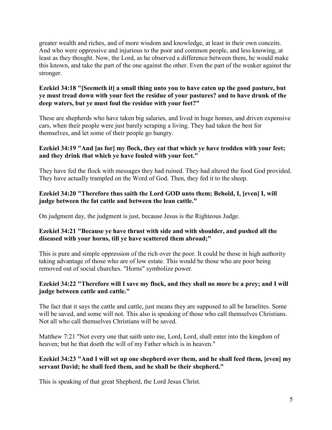greater wealth and riches, and of more wisdom and knowledge, at least in their own conceits. And who were oppressive and injurious to the poor and common people, and less knowing, at least as they thought. Now, the Lord, as he observed a difference between them, he would make this known, and take the part of the one against the other. Even the part of the weaker against the stronger.

## **Ezekiel 34:18 "[Seemeth it] a small thing unto you to have eaten up the good pasture, but ye must tread down with your feet the residue of your pastures? and to have drunk of the deep waters, but ye must foul the residue with your feet?"**

These are shepherds who have taken big salaries, and lived in huge homes, and driven expensive cars, when their people were just barely scraping a living. They had taken the best for themselves, and let some of their people go hungry.

# **Ezekiel 34:19 "And [as for] my flock, they eat that which ye have trodden with your feet; and they drink that which ye have fouled with your feet."**

They have fed the flock with messages they had ruined. They had altered the food God provided. They have actually trampled on the Word of God. Then, they fed it to the sheep.

# **Ezekiel 34:20 "Therefore thus saith the Lord GOD unto them; Behold, I, [even] I, will judge between the fat cattle and between the lean cattle."**

On judgment day, the judgment is just, because Jesus is the Righteous Judge.

# **Ezekiel 34:21 "Because ye have thrust with side and with shoulder, and pushed all the diseased with your horns, till ye have scattered them abroad;"**

This is pure and simple oppression of the rich over the poor. It could be those in high authority taking advantage of those who are of low estate. This would be those who are poor being removed out of social churches. "Horns" symbolize power.

# **Ezekiel 34:22 "Therefore will I save my flock, and they shall no more be a prey; and I will judge between cattle and cattle."**

The fact that it says the cattle and cattle, just means they are supposed to all be Israelites. Some will be saved, and some will not. This also is speaking of those who call themselves Christians. Not all who call themselves Christians will be saved.

Matthew 7:21 "Not every one that saith unto me, Lord, Lord, shall enter into the kingdom of heaven; but he that doeth the will of my Father which is in heaven."

## **Ezekiel 34:23 "And I will set up one shepherd over them, and he shall feed them, [even] my servant David; he shall feed them, and he shall be their shepherd."**

This is speaking of that great Shepherd, the Lord Jesus Christ.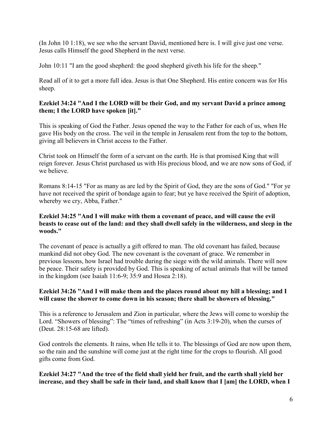(In John 10 1:18), we see who the servant David, mentioned here is. I will give just one verse. Jesus calls Himself the good Shepherd in the next verse.

John 10:11 "I am the good shepherd: the good shepherd giveth his life for the sheep."

Read all of it to get a more full idea. Jesus is that One Shepherd. His entire concern was for His sheep.

# **Ezekiel 34:24 "And I the LORD will be their God, and my servant David a prince among them; I the LORD have spoken [it]."**

This is speaking of God the Father. Jesus opened the way to the Father for each of us, when He gave His body on the cross. The veil in the temple in Jerusalem rent from the top to the bottom, giving all believers in Christ access to the Father.

Christ took on Himself the form of a servant on the earth. He is that promised King that will reign forever. Jesus Christ purchased us with His precious blood, and we are now sons of God, if we believe.

Romans 8:14-15 "For as many as are led by the Spirit of God, they are the sons of God." "For ye have not received the spirit of bondage again to fear; but ye have received the Spirit of adoption, whereby we cry, Abba, Father."

## **Ezekiel 34:25 "And I will make with them a covenant of peace, and will cause the evil beasts to cease out of the land: and they shall dwell safely in the wilderness, and sleep in the woods."**

The covenant of peace is actually a gift offered to man. The old covenant has failed, because mankind did not obey God. The new covenant is the covenant of grace. We remember in previous lessons, how Israel had trouble during the siege with the wild animals. There will now be peace. Their safety is provided by God. This is speaking of actual animals that will be tamed in the kingdom (see Isaiah 11:6-9; 35:9 and Hosea 2:18).

## **Ezekiel 34:26 "And I will make them and the places round about my hill a blessing; and I will cause the shower to come down in his season; there shall be showers of blessing."**

This is a reference to Jerusalem and Zion in particular, where the Jews will come to worship the Lord. "Showers of blessing": The "times of refreshing" (in Acts 3:19-20), when the curses of (Deut. 28:15-68 are lifted).

God controls the elements. It rains, when He tells it to. The blessings of God are now upon them, so the rain and the sunshine will come just at the right time for the crops to flourish. All good gifts come from God.

## **Ezekiel 34:27 "And the tree of the field shall yield her fruit, and the earth shall yield her increase, and they shall be safe in their land, and shall know that I [am] the LORD, when I**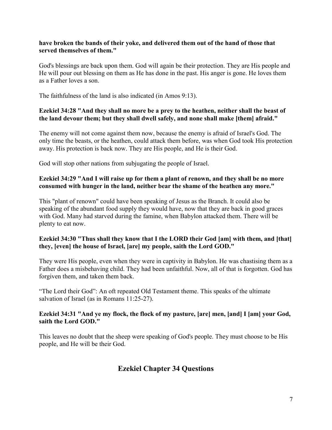#### **have broken the bands of their yoke, and delivered them out of the hand of those that served themselves of them."**

God's blessings are back upon them. God will again be their protection. They are His people and He will pour out blessing on them as He has done in the past. His anger is gone. He loves them as a Father loves a son.

The faithfulness of the land is also indicated (in Amos 9:13).

## **Ezekiel 34:28 "And they shall no more be a prey to the heathen, neither shall the beast of the land devour them; but they shall dwell safely, and none shall make [them] afraid."**

The enemy will not come against them now, because the enemy is afraid of Israel's God. The only time the beasts, or the heathen, could attack them before, was when God took His protection away. His protection is back now. They are His people, and He is their God.

God will stop other nations from subjugating the people of Israel.

#### **Ezekiel 34:29 "And I will raise up for them a plant of renown, and they shall be no more consumed with hunger in the land, neither bear the shame of the heathen any more."**

This "plant of renown" could have been speaking of Jesus as the Branch. It could also be speaking of the abundant food supply they would have, now that they are back in good graces with God. Many had starved during the famine, when Babylon attacked them. There will be plenty to eat now.

## **Ezekiel 34:30 "Thus shall they know that I the LORD their God [am] with them, and [that] they, [even] the house of Israel, [are] my people, saith the Lord GOD."**

They were His people, even when they were in captivity in Babylon. He was chastising them as a Father does a misbehaving child. They had been unfaithful. Now, all of that is forgotten. God has forgiven them, and taken them back.

"The Lord their God": An oft repeated Old Testament theme. This speaks of the ultimate salvation of Israel (as in Romans 11:25-27).

## **Ezekiel 34:31 "And ye my flock, the flock of my pasture, [are] men, [and] I [am] your God, saith the Lord GOD."**

This leaves no doubt that the sheep were speaking of God's people. They must choose to be His people, and He will be their God.

# **Ezekiel Chapter 34 Questions**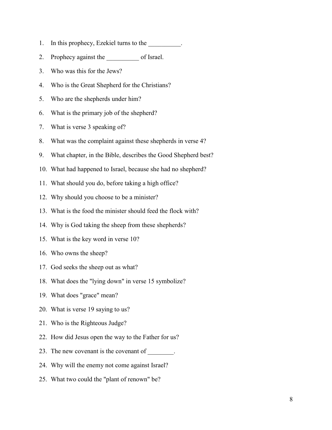- 1. In this prophecy, Ezekiel turns to the \_\_\_\_\_\_\_\_\_.
- 2. Prophecy against the \_\_\_\_\_\_\_\_\_\_ of Israel.
- 3. Who was this for the Jews?
- 4. Who is the Great Shepherd for the Christians?
- 5. Who are the shepherds under him?
- 6. What is the primary job of the shepherd?
- 7. What is verse 3 speaking of?
- 8. What was the complaint against these shepherds in verse 4?
- 9. What chapter, in the Bible, describes the Good Shepherd best?
- 10. What had happened to Israel, because she had no shepherd?
- 11. What should you do, before taking a high office?
- 12. Why should you choose to be a minister?
- 13. What is the food the minister should feed the flock with?
- 14. Why is God taking the sheep from these shepherds?
- 15. What is the key word in verse 10?
- 16. Who owns the sheep?
- 17. God seeks the sheep out as what?
- 18. What does the "lying down" in verse 15 symbolize?
- 19. What does "grace" mean?
- 20. What is verse 19 saying to us?
- 21. Who is the Righteous Judge?
- 22. How did Jesus open the way to the Father for us?
- 23. The new covenant is the covenant of \_\_\_\_\_\_\_.
- 24. Why will the enemy not come against Israel?
- 25. What two could the "plant of renown" be?